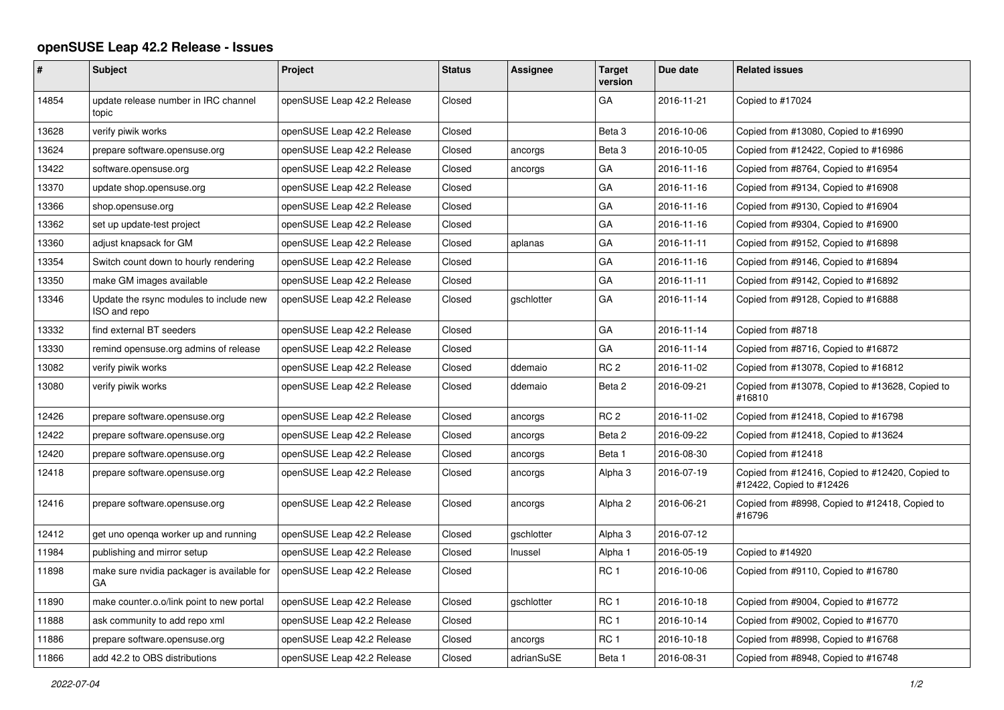## **openSUSE Leap 42.2 Release - Issues**

| #     | <b>Subject</b>                                          | Project                    | <b>Status</b> | Assignee   | <b>Target</b><br>version | Due date   | <b>Related issues</b>                                                       |
|-------|---------------------------------------------------------|----------------------------|---------------|------------|--------------------------|------------|-----------------------------------------------------------------------------|
| 14854 | update release number in IRC channel<br>topic           | openSUSE Leap 42.2 Release | Closed        |            | GA                       | 2016-11-21 | Copied to #17024                                                            |
| 13628 | verify piwik works                                      | openSUSE Leap 42.2 Release | Closed        |            | Beta <sub>3</sub>        | 2016-10-06 | Copied from #13080, Copied to #16990                                        |
| 13624 | prepare software.opensuse.org                           | openSUSE Leap 42.2 Release | Closed        | ancorgs    | Beta <sub>3</sub>        | 2016-10-05 | Copied from #12422, Copied to #16986                                        |
| 13422 | software.opensuse.org                                   | openSUSE Leap 42.2 Release | Closed        | ancorgs    | GA                       | 2016-11-16 | Copied from #8764, Copied to #16954                                         |
| 13370 | update shop.opensuse.org                                | openSUSE Leap 42.2 Release | Closed        |            | GA                       | 2016-11-16 | Copied from #9134, Copied to #16908                                         |
| 13366 | shop.opensuse.org                                       | openSUSE Leap 42.2 Release | Closed        |            | GA                       | 2016-11-16 | Copied from #9130, Copied to #16904                                         |
| 13362 | set up update-test project                              | openSUSE Leap 42.2 Release | Closed        |            | GA                       | 2016-11-16 | Copied from #9304, Copied to #16900                                         |
| 13360 | adjust knapsack for GM                                  | openSUSE Leap 42.2 Release | Closed        | aplanas    | GA                       | 2016-11-11 | Copied from #9152, Copied to #16898                                         |
| 13354 | Switch count down to hourly rendering                   | openSUSE Leap 42.2 Release | Closed        |            | GA                       | 2016-11-16 | Copied from #9146, Copied to #16894                                         |
| 13350 | make GM images available                                | openSUSE Leap 42.2 Release | Closed        |            | GA                       | 2016-11-11 | Copied from #9142, Copied to #16892                                         |
| 13346 | Update the rsync modules to include new<br>ISO and repo | openSUSE Leap 42.2 Release | Closed        | gschlotter | GA                       | 2016-11-14 | Copied from #9128, Copied to #16888                                         |
| 13332 | find external BT seeders                                | openSUSE Leap 42.2 Release | Closed        |            | GA                       | 2016-11-14 | Copied from #8718                                                           |
| 13330 | remind opensuse.org admins of release                   | openSUSE Leap 42.2 Release | Closed        |            | GA                       | 2016-11-14 | Copied from #8716, Copied to #16872                                         |
| 13082 | verify piwik works                                      | openSUSE Leap 42.2 Release | Closed        | ddemaio    | RC <sub>2</sub>          | 2016-11-02 | Copied from #13078, Copied to #16812                                        |
| 13080 | verify piwik works                                      | openSUSE Leap 42.2 Release | Closed        | ddemaio    | Beta 2                   | 2016-09-21 | Copied from #13078, Copied to #13628, Copied to<br>#16810                   |
| 12426 | prepare software.opensuse.org                           | openSUSE Leap 42.2 Release | Closed        | ancorgs    | RC <sub>2</sub>          | 2016-11-02 | Copied from #12418, Copied to #16798                                        |
| 12422 | prepare software.opensuse.org                           | openSUSE Leap 42.2 Release | Closed        | ancorgs    | Beta 2                   | 2016-09-22 | Copied from #12418, Copied to #13624                                        |
| 12420 | prepare software.opensuse.org                           | openSUSE Leap 42.2 Release | Closed        | ancorgs    | Beta 1                   | 2016-08-30 | Copied from #12418                                                          |
| 12418 | prepare software.opensuse.org                           | openSUSE Leap 42.2 Release | Closed        | ancorgs    | Alpha 3                  | 2016-07-19 | Copied from #12416, Copied to #12420, Copied to<br>#12422, Copied to #12426 |
| 12416 | prepare software.opensuse.org                           | openSUSE Leap 42.2 Release | Closed        | ancorgs    | Alpha <sub>2</sub>       | 2016-06-21 | Copied from #8998, Copied to #12418, Copied to<br>#16796                    |
| 12412 | get uno openqa worker up and running                    | openSUSE Leap 42.2 Release | Closed        | gschlotter | Alpha 3                  | 2016-07-12 |                                                                             |
| 11984 | publishing and mirror setup                             | openSUSE Leap 42.2 Release | Closed        | Inussel    | Alpha 1                  | 2016-05-19 | Copied to #14920                                                            |
| 11898 | make sure nvidia packager is available for<br>GA        | openSUSE Leap 42.2 Release | Closed        |            | RC <sub>1</sub>          | 2016-10-06 | Copied from #9110, Copied to #16780                                         |
| 11890 | make counter.o.o/link point to new portal               | openSUSE Leap 42.2 Release | Closed        | gschlotter | RC <sub>1</sub>          | 2016-10-18 | Copied from #9004, Copied to #16772                                         |
| 11888 | ask community to add repo xml                           | openSUSE Leap 42.2 Release | Closed        |            | RC <sub>1</sub>          | 2016-10-14 | Copied from #9002, Copied to #16770                                         |
| 11886 | prepare software.opensuse.org                           | openSUSE Leap 42.2 Release | Closed        | ancorgs    | RC <sub>1</sub>          | 2016-10-18 | Copied from #8998, Copied to #16768                                         |
| 11866 | add 42.2 to OBS distributions                           | openSUSE Leap 42.2 Release | Closed        | adrianSuSE | Beta 1                   | 2016-08-31 | Copied from #8948, Copied to #16748                                         |